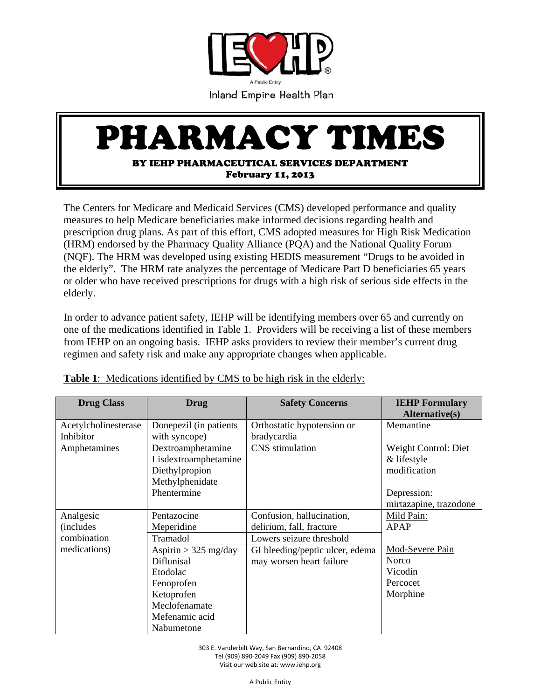

## PHARMACY TIMES

February 11, 2013

The Centers for Medicare and Medicaid Services (CMS) developed performance and quality measures to help Medicare beneficiaries make informed decisions regarding health and prescription drug plans. As part of this effort, CMS adopted measures for High Risk Medication (HRM) endorsed by the Pharmacy Quality Alliance (PQA) and the National Quality Forum (NQF). The HRM was developed using existing HEDIS measurement "Drugs to be avoided in the elderly". The HRM rate analyzes the percentage of Medicare Part D beneficiaries 65 years or older who have received prescriptions for drugs with a high risk of serious side effects in the elderly.

In order to advance patient safety, IEHP will be identifying members over 65 and currently on one of the medications identified in Table 1. Providers will be receiving a list of these members from IEHP on an ongoing basis. IEHP asks providers to review their member's current drug regimen and safety risk and make any appropriate changes when applicable.

| <b>Drug Class</b>                                             | Drug                                                                                                                                                                   | <b>Safety Concerns</b>                                                                                                                           | <b>IEHP Formulary</b>                                                                        |
|---------------------------------------------------------------|------------------------------------------------------------------------------------------------------------------------------------------------------------------------|--------------------------------------------------------------------------------------------------------------------------------------------------|----------------------------------------------------------------------------------------------|
|                                                               |                                                                                                                                                                        |                                                                                                                                                  | Alternative(s)                                                                               |
| Acetylcholinesterase<br>Inhibitor                             | Donepezil (in patients)<br>with syncope)                                                                                                                               | Orthostatic hypotension or<br>bradycardia                                                                                                        | Memantine                                                                                    |
| Amphetamines                                                  | Dextroamphetamine<br>Lisdextroamphetamine<br>Diethylpropion<br>Methylphenidate<br>Phentermine                                                                          | CNS stimulation                                                                                                                                  | Weight Control: Diet<br>& lifestyle<br>modification<br>Depression:<br>mirtazapine, trazodone |
| Analgesic<br><i>(includes)</i><br>combination<br>medications) | Pentazocine<br>Meperidine<br>Tramadol<br>Aspirin $>$ 325 mg/day<br>Diflunisal<br>Etodolac<br>Fenoprofen<br>Ketoprofen<br>Meclofenamate<br>Mefenamic acid<br>Nabumetone | Confusion, hallucination,<br>delirium, fall, fracture<br>Lowers seizure threshold<br>GI bleeding/peptic ulcer, edema<br>may worsen heart failure | Mild Pain:<br>APAP<br>Mod-Severe Pain<br><b>Norco</b><br>Vicodin<br>Percocet<br>Morphine     |

**Table 1**: Medications identified by CMS to be high risk in the elderly: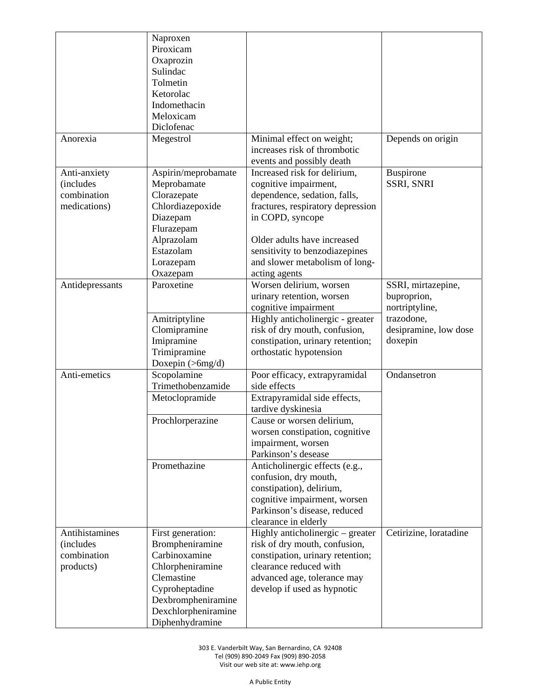|                                                                 | Naproxen<br>Piroxicam<br>Oxaprozin<br>Sulindac<br>Tolmetin<br>Ketorolac<br>Indomethacin<br>Meloxicam<br>Diclofenac                                                        |                                                                                                                                                                                                                                                                                                                                                                                                |                                                                                                       |
|-----------------------------------------------------------------|---------------------------------------------------------------------------------------------------------------------------------------------------------------------------|------------------------------------------------------------------------------------------------------------------------------------------------------------------------------------------------------------------------------------------------------------------------------------------------------------------------------------------------------------------------------------------------|-------------------------------------------------------------------------------------------------------|
| Anorexia                                                        | Megestrol                                                                                                                                                                 | Minimal effect on weight;<br>increases risk of thrombotic<br>events and possibly death                                                                                                                                                                                                                                                                                                         | Depends on origin                                                                                     |
| Anti-anxiety<br><i>(includes</i><br>combination<br>medications) | Aspirin/meprobamate<br>Meprobamate<br>Clorazepate<br>Chlordiazepoxide<br>Diazepam<br>Flurazepam<br>Alprazolam<br>Estazolam<br>Lorazepam<br>Oxazepam                       | Increased risk for delirium,<br>cognitive impairment,<br>dependence, sedation, falls,<br>fractures, respiratory depression<br>in COPD, syncope<br>Older adults have increased<br>sensitivity to benzodiazepines<br>and slower metabolism of long-<br>acting agents                                                                                                                             | Buspirone<br>SSRI, SNRI                                                                               |
| Antidepressants                                                 | Paroxetine<br>Amitriptyline<br>Clomipramine<br>Imipramine<br>Trimipramine<br>Doxepin $(>\,6mg/d)$                                                                         | Worsen delirium, worsen<br>urinary retention, worsen<br>cognitive impairment<br>Highly anticholinergic - greater<br>risk of dry mouth, confusion,<br>constipation, urinary retention;<br>orthostatic hypotension                                                                                                                                                                               | SSRI, mirtazepine,<br>buproprion,<br>nortriptyline,<br>trazodone,<br>desipramine, low dose<br>doxepin |
| Anti-emetics                                                    | Scopolamine<br>Trimethobenzamide<br>Metoclopramide<br>Prochlorperazine<br>Promethazine                                                                                    | Poor efficacy, extrapyramidal<br>side effects<br>Extrapyramidal side effects,<br>tardive dyskinesia<br>Cause or worsen delirium,<br>worsen constipation, cognitive<br>impairment, worsen<br>Parkinson's desease<br>Anticholinergic effects (e.g.,<br>confusion, dry mouth,<br>constipation), delirium,<br>cognitive impairment, worsen<br>Parkinson's disease, reduced<br>clearance in elderly | Ondansetron                                                                                           |
| Antihistamines<br><i>(includes)</i><br>combination<br>products) | First generation:<br>Brompheniramine<br>Carbinoxamine<br>Chlorpheniramine<br>Clemastine<br>Cyproheptadine<br>Dexbrompheniramine<br>Dexchlorpheniramine<br>Diphenhydramine | Highly anticholinergic – greater<br>risk of dry mouth, confusion,<br>constipation, urinary retention;<br>clearance reduced with<br>advanced age, tolerance may<br>develop if used as hypnotic                                                                                                                                                                                                  | Cetirizine, loratadine                                                                                |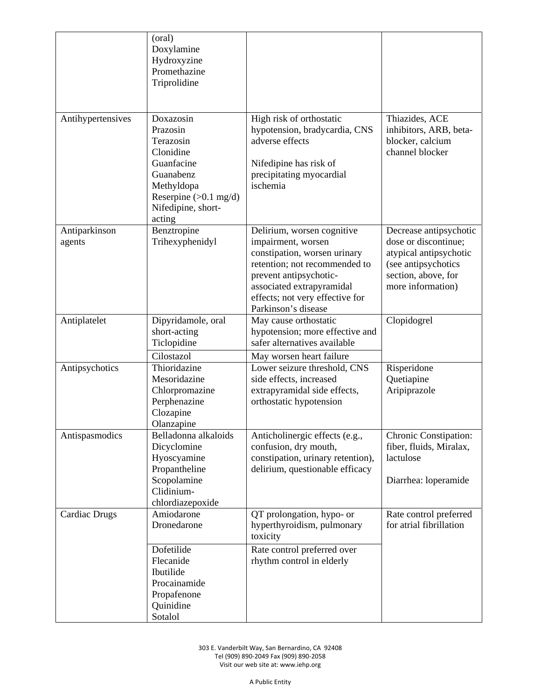|                         | (oral)<br>Doxylamine<br>Hydroxyzine<br>Promethazine<br>Triprolidine                                                                                 |                                                                                                                                                                                                                                    |                                                                                                                                             |
|-------------------------|-----------------------------------------------------------------------------------------------------------------------------------------------------|------------------------------------------------------------------------------------------------------------------------------------------------------------------------------------------------------------------------------------|---------------------------------------------------------------------------------------------------------------------------------------------|
| Antihypertensives       | Doxazosin<br>Prazosin<br>Terazosin<br>Clonidine<br>Guanfacine<br>Guanabenz<br>Methyldopa<br>Reserpine $(>0.1$ mg/d)<br>Nifedipine, short-<br>acting | High risk of orthostatic<br>hypotension, bradycardia, CNS<br>adverse effects<br>Nifedipine has risk of<br>precipitating myocardial<br>ischemia                                                                                     | Thiazides, ACE<br>inhibitors, ARB, beta-<br>blocker, calcium<br>channel blocker                                                             |
| Antiparkinson<br>agents | Benztropine<br>Trihexyphenidyl                                                                                                                      | Delirium, worsen cognitive<br>impairment, worsen<br>constipation, worsen urinary<br>retention; not recommended to<br>prevent antipsychotic-<br>associated extrapyramidal<br>effects; not very effective for<br>Parkinson's disease | Decrease antipsychotic<br>dose or discontinue;<br>atypical antipsychotic<br>(see antipsychotics<br>section, above, for<br>more information) |
| Antiplatelet            | Dipyridamole, oral<br>short-acting<br>Ticlopidine<br>Cilostazol                                                                                     | May cause orthostatic<br>hypotension; more effective and<br>safer alternatives available<br>May worsen heart failure                                                                                                               | Clopidogrel                                                                                                                                 |
| Antipsychotics          | Thioridazine<br>Mesoridazine<br>Chlorpromazine<br>Perphenazine<br>Clozapine<br>Olanzapine                                                           | Lower seizure threshold, CNS<br>side effects, increased<br>extrapyramidal side effects,<br>orthostatic hypotension                                                                                                                 | Risperidone<br>Quetiapine<br>Aripiprazole                                                                                                   |
| Antispasmodics          | Belladonna alkaloids<br>Dicyclomine<br>Hyoscyamine<br>Propantheline<br>Scopolamine<br>Clidinium-<br>chlordiazepoxide                                | Anticholinergic effects (e.g.,<br>confusion, dry mouth,<br>constipation, urinary retention),<br>delirium, questionable efficacy                                                                                                    | Chronic Constipation:<br>fiber, fluids, Miralax,<br>lactulose<br>Diarrhea: loperamide                                                       |
| <b>Cardiac Drugs</b>    | Amiodarone<br>Dronedarone                                                                                                                           | QT prolongation, hypo- or<br>hyperthyroidism, pulmonary<br>toxicity                                                                                                                                                                | Rate control preferred<br>for atrial fibrillation                                                                                           |
|                         | Dofetilide<br>Flecanide<br>Ibutilide<br>Procainamide<br>Propafenone<br>Quinidine<br>Sotalol                                                         | Rate control preferred over<br>rhythm control in elderly                                                                                                                                                                           |                                                                                                                                             |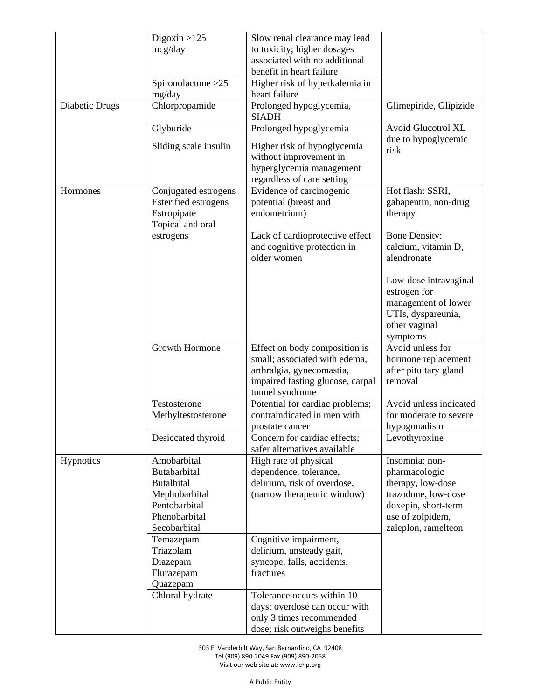| Digoxin $>125$<br>Slow renal clearance may lead<br>to toxicity; higher dosages<br>mcg/day<br>associated with no additional<br>benefit in heart failure<br>Spironolactone > 25<br>Higher risk of hyperkalemia in |  |
|-----------------------------------------------------------------------------------------------------------------------------------------------------------------------------------------------------------------|--|
|                                                                                                                                                                                                                 |  |
|                                                                                                                                                                                                                 |  |
|                                                                                                                                                                                                                 |  |
|                                                                                                                                                                                                                 |  |
| heart failure<br>mg/day                                                                                                                                                                                         |  |
| Chlorpropamide<br>Diabetic Drugs<br>Prolonged hypoglycemia,<br>Glimepiride, Glipizide<br><b>SIADH</b>                                                                                                           |  |
| <b>Avoid Glucotrol XL</b><br>Glyburide<br>Prolonged hypoglycemia<br>due to hypoglycemic                                                                                                                         |  |
| Sliding scale insulin<br>Higher risk of hypoglycemia<br>risk<br>without improvement in                                                                                                                          |  |
| hyperglycemia management<br>regardless of care setting                                                                                                                                                          |  |
| Evidence of carcinogenic<br>Hot flash: SSRI,<br>Hormones<br>Conjugated estrogens                                                                                                                                |  |
| Esterified estrogens<br>potential (breast and<br>gabapentin, non-drug                                                                                                                                           |  |
| Estropipate<br>endometrium)<br>therapy                                                                                                                                                                          |  |
| Topical and oral                                                                                                                                                                                                |  |
| estrogens<br>Lack of cardioprotective effect<br><b>Bone Density:</b>                                                                                                                                            |  |
| calcium, vitamin D,<br>and cognitive protection in<br>older women<br>alendronate                                                                                                                                |  |
| Low-dose intravaginal                                                                                                                                                                                           |  |
| estrogen for                                                                                                                                                                                                    |  |
| management of lower                                                                                                                                                                                             |  |
| UTIs, dyspareunia,                                                                                                                                                                                              |  |
| other vaginal                                                                                                                                                                                                   |  |
| symptoms                                                                                                                                                                                                        |  |
| Growth Hormone<br>Avoid unless for<br>Effect on body composition is                                                                                                                                             |  |
| small; associated with edema,<br>hormone replacement                                                                                                                                                            |  |
| arthralgia, gynecomastia,<br>after pituitary gland                                                                                                                                                              |  |
| removal                                                                                                                                                                                                         |  |
| impaired fasting glucose, carpal                                                                                                                                                                                |  |
| tunnel syndrome                                                                                                                                                                                                 |  |
| Potential for cardiac problems;<br>Avoid unless indicated<br>Testosterone                                                                                                                                       |  |
| contraindicated in men with<br>Methyltestosterone<br>for moderate to severe                                                                                                                                     |  |
| hypogonadism<br>prostate cancer                                                                                                                                                                                 |  |
| Desiccated thyroid<br>Concern for cardiac effects;<br>Levothyroxine<br>safer alternatives available                                                                                                             |  |
| Amobarbital<br>High rate of physical<br>Insomnia: non-<br>Hypnotics                                                                                                                                             |  |
| Butabarbital<br>dependence, tolerance,<br>pharmacologic                                                                                                                                                         |  |
| <b>Butalbital</b><br>delirium, risk of overdose,<br>therapy, low-dose                                                                                                                                           |  |
| Mephobarbital<br>(narrow therapeutic window)<br>trazodone, low-dose                                                                                                                                             |  |
| Pentobarbital<br>doxepin, short-term                                                                                                                                                                            |  |
| Phenobarbital<br>use of zolpidem,                                                                                                                                                                               |  |
| Secobarbital<br>zaleplon, ramelteon                                                                                                                                                                             |  |
| Cognitive impairment,<br>Temazepam                                                                                                                                                                              |  |
| Triazolam<br>delirium, unsteady gait,                                                                                                                                                                           |  |
|                                                                                                                                                                                                                 |  |
|                                                                                                                                                                                                                 |  |
| syncope, falls, accidents,<br>Diazepam<br>fractures                                                                                                                                                             |  |
| Flurazepam                                                                                                                                                                                                      |  |
| Quazepam<br>Tolerance occurs within 10<br>Chloral hydrate                                                                                                                                                       |  |
|                                                                                                                                                                                                                 |  |
| days; overdose can occur with<br>only 3 times recommended                                                                                                                                                       |  |